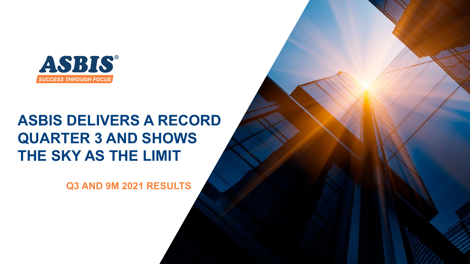

# **ASBIS DELIVERS A RECORD QUARTER 3 AND SHOWS THE SKY ΑS THE LIMIT**

**Q3 AND 9M 2021 RESULTS**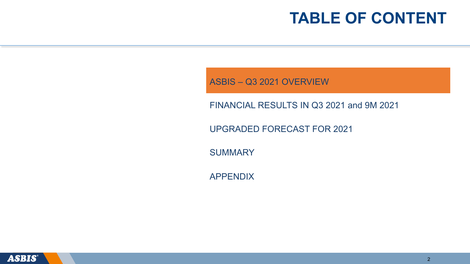ASBIS – Q3 2021 OVERVIEW

FINANCIAL RESULTS IN Q3 2021 and 9M 2021

UPGRADED FORECAST FOR 2021

**SUMMARY** 

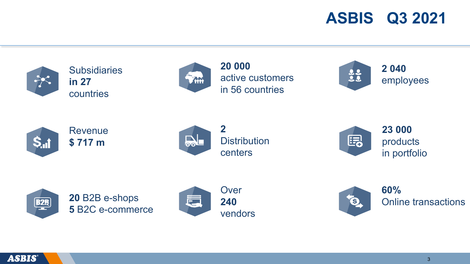# **ASBIS Q3 2021**



**Subsidiaries in 27** countries



**20 000** active customers in 56 countries

**2 040** 32 employees



Revenue **\$ 717 m**



**Distribution** centers



**23 000**  products in portfolio







**60%** Online transactions

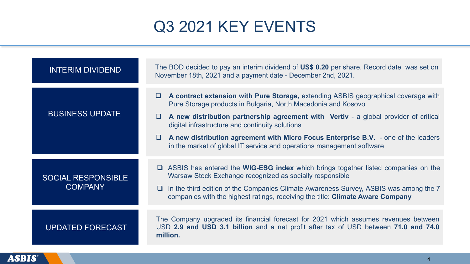# Q3 2021 KEY EVENTS

| <b>INTERIM DIVIDEND</b>                     | The BOD decided to pay an interim dividend of US\$ 0.20 per share. Record date was set on<br>November 18th, 2021 and a payment date - December 2nd, 2021.                                                                                                                                                                                                                                                                                                                                   |
|---------------------------------------------|---------------------------------------------------------------------------------------------------------------------------------------------------------------------------------------------------------------------------------------------------------------------------------------------------------------------------------------------------------------------------------------------------------------------------------------------------------------------------------------------|
| <b>BUSINESS UPDATE</b>                      | A contract extension with Pure Storage, extending ASBIS geographical coverage with<br>$\Box$<br>Pure Storage products in Bulgaria, North Macedonia and Kosovo<br>A new distribution partnership agreement with Vertiv - a global provider of critical<br>$\Box$<br>digital infrastructure and continuity solutions<br>A new distribution agreement with Micro Focus Enterprise B.V. - one of the leaders<br>$\Box$<br>in the market of global IT service and operations management software |
| <b>SOCIAL RESPONSIBLE</b><br><b>COMPANY</b> | □ ASBIS has entered the WIG-ESG index which brings together listed companies on the<br>Warsaw Stock Exchange recognized as socially responsible<br>In the third edition of the Companies Climate Awareness Survey, ASBIS was among the 7<br>u.<br>companies with the highest ratings, receiving the title: Climate Aware Company                                                                                                                                                            |
| <b>UPDATED FORECAST</b>                     | The Company upgraded its financial forecast for 2021 which assumes revenues between<br>USD 2.9 and USD 3.1 billion and a net profit after tax of USD between 71.0 and 74.0<br>million.                                                                                                                                                                                                                                                                                                      |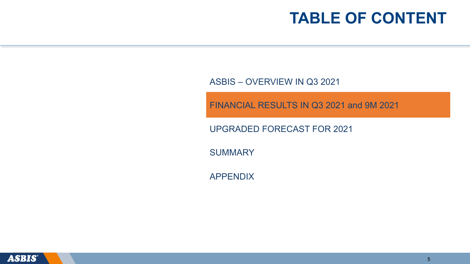ASBIS – OVERVIEW IN Q3 2021

FINANCIAL RESULTS IN Q3 2021 and 9M 2021

UPGRADED FORECAST FOR 2021

**SUMMARY** 

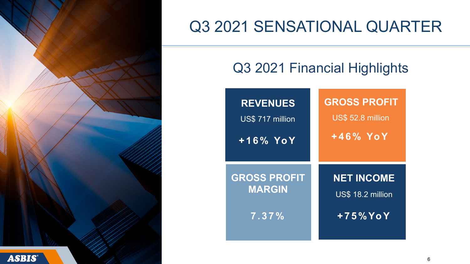

# Q3 2021 SENSATIONAL QUARTER

#### Q3 2021 Financial Highlights

| <b>REVENUES</b>     | <b>GROSS PROFIT</b> |
|---------------------|---------------------|
| US\$717 million     | US\$ 52.8 million   |
| $+16\%$ YoY         | $+46\%$ YoY         |
| <b>GROSS PROFIT</b> | <b>NET INCOME</b>   |
| <b>MARGIN</b>       | US\$ 18.2 million   |
| 7.37%               | $+75\%$ Yo Y        |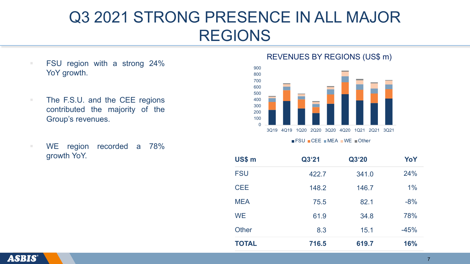# Q3 2021 STRONG PRESENCE IN ALL MAJOR REGIONS

- FSU region with a strong 24% YoY growth.
- The F.S.U. and the CEE regions contributed the majority of the Group's revenues.
- WE region recorded a 78%

#### REVENUES BY REGIONS (US\$ m)



FSU CEE MEA WE Other

| <b>FSU</b>   | 422.7 | 341.0 | 24%    |
|--------------|-------|-------|--------|
| <b>CEE</b>   | 148.2 | 146.7 | $1\%$  |
| <b>MEA</b>   | 75.5  | 82.1  | $-8%$  |
| <b>WE</b>    | 61.9  | 34.8  | 78%    |
| Other        | 8.3   | 15.1  | $-45%$ |
| <b>TOTAL</b> | 716.5 | 619.7 | 16%    |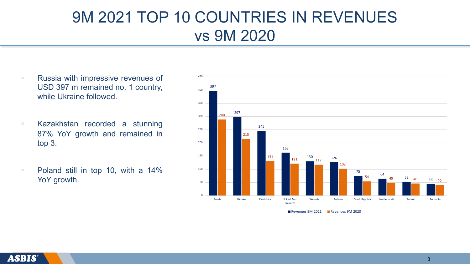# 9M 2021 TOP 10 COUNTRIES IN REVENUES vs 9M 2020

- Russia with impressive revenues of USD 397 m remained no. 1 country, while Ukraine followed.
- Kazakhstan recorded a stunning 87% YoY growth and remained in top 3.
- Poland still in top 10, with a 14% YoY growth.



Revenues 9M 2021 Revenues 9M 2020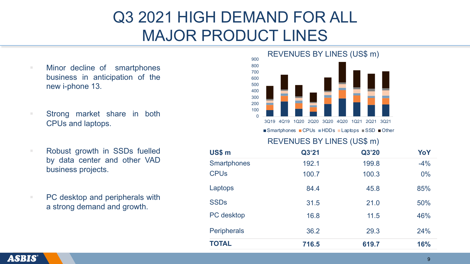# Q3 2021 HIGH DEMAND FOR ALL MAJOR PRODUCT LINES

- § Minor decline of smartphones business in anticipation of the new i-phone 13.
- § Strong market share in both CPUs and laptops.
- § Robust growth in SSDs fuelled by data center and other VAD business projects.
- PC desktop and peripherals with a strong demand and growth.



REVENUES BY LINES (US\$ m) ■Smartphones ■CPUs ■HDDs ■Laptops ■SSD ■Other

| US\$ m                 | Q3'21 | Q3'20 | YoY   |
|------------------------|-------|-------|-------|
| <b>Smartphones</b>     | 192.1 | 199.8 | $-4%$ |
| <b>CPU<sub>s</sub></b> | 100.7 | 100.3 | $0\%$ |
| Laptops                | 84.4  | 45.8  | 85%   |
| <b>SSDs</b>            | 31.5  | 21.0  | 50%   |
| PC desktop             | 16.8  | 11.5  | 46%   |
| <b>Peripherals</b>     | 36.2  | 29.3  | 24%   |
| <b>TOTAL</b>           | 716.5 | 619.7 | 16%   |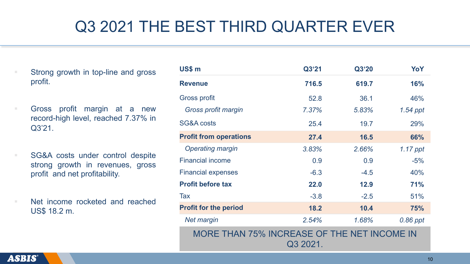# Q3 2021 THE BEST THIRD QUARTER EVER

§ Strong growth in top-line and gross profit.

■ Gross profit margin at a new record-high level, reached 7.37% in Q3'21.

■ SG&A costs under control despite strong growth in revenues, gross profit and net profitability.

■ Net income rocketed and reached US\$ 18.2 m.

| US\$ m                                                  | Q3'21  | Q3'20  | YoY        |
|---------------------------------------------------------|--------|--------|------------|
| <b>Revenue</b>                                          | 716.5  | 619.7  | <b>16%</b> |
| Gross profit                                            | 52.8   | 36.1   | 46%        |
| Gross profit margin                                     | 7.37%  | 5.83%  | 1.54 ppt   |
| SG&A costs                                              | 25.4   | 19.7   | 29%        |
| <b>Profit from operations</b>                           | 27.4   | 16.5   | 66%        |
| <b>Operating margin</b>                                 | 3.83%  | 2.66%  | 1.17 ppt   |
| <b>Financial income</b>                                 | 0.9    | 0.9    | $-5%$      |
| <b>Financial expenses</b>                               | $-6.3$ | $-4.5$ | 40%        |
| <b>Profit before tax</b>                                | 22.0   | 12.9   | <b>71%</b> |
| Tax                                                     | $-3.8$ | $-2.5$ | 51%        |
| <b>Profit for the period</b>                            | 18.2   | 10.4   | 75%        |
| <b>Net margin</b>                                       | 2.54%  | 1.68%  | 0.86 ppt   |
| MORE THAN 75% INCREASE OF THE NET INCOME IN<br>Q3 2021. |        |        |            |

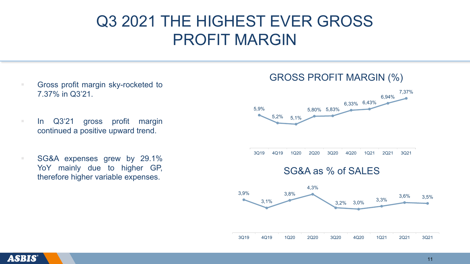## Q3 2021 THE HIGHEST EVER GROSS PROFIT MARGIN

- Gross profit margin sky-rocketed to 7.37% in Q3'21.
- In Q3'21 gross profit margin continued a positive upward trend.
- SG&A expenses grew by 29.1% YoY mainly due to higher GP, therefore higher variable expenses.

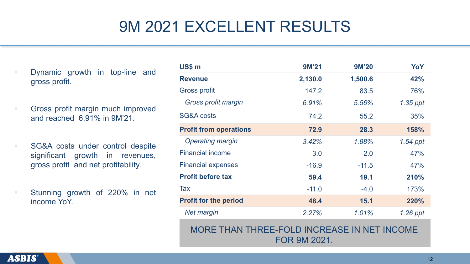# 9M 2021 EXCELLENT RESULTS

- § Dynamic growth in top-line and gross profit.
- Gross profit margin much improved and reached 6.91% in 9M'21.
- SG&A costs under control despite significant growth in revenues, gross profit and net profitability.
	- Stunning growth of 220% in net income YoY.

| US\$ m                        | 9M'21   | <b>9M'20</b> | YoY        |
|-------------------------------|---------|--------------|------------|
| <b>Revenue</b>                | 2,130.0 | 1,500.6      | 42%        |
| <b>Gross profit</b>           | 147.2   | 83.5         | 76%        |
| Gross profit margin           | 6.91%   | 5.56%        | $1.35$ ppt |
| SG&A costs                    | 74.2    | 55.2         | 35%        |
| <b>Profit from operations</b> | 72.9    | 28.3         | 158%       |
| <b>Operating margin</b>       | 3.42%   | 1.88%        | 1.54 ppt   |
| <b>Financial income</b>       | 3.0     | 2.0          | 47%        |
| <b>Financial expenses</b>     | $-16.9$ | $-11.5$      | 47%        |
| <b>Profit before tax</b>      | 59.4    | 19.1         | 210%       |
| <b>Tax</b>                    | $-11.0$ | $-4.0$       | 173%       |
| <b>Profit for the period</b>  | 48.4    | 15.1         | 220%       |
| <b>Net margin</b>             | 2.27%   | 1.01%        | $1.26$ ppt |

MORE THAN THREE-FOLD INCREASE IN NET INCOME FOR 9M 2021.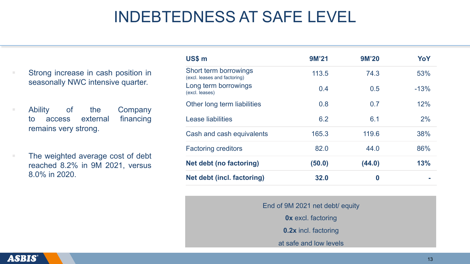#### INDEBTEDNESS AT SAFE LEVEL

Strong increase in cash position in seasonally NWC intensive quarter.

§ Ability of the Company to access external financing remains very strong.

The weighted average cost of debt reached 8.2% in 9M 2021, versus 8.0% in 2020.

| US\$ m                                                | 9M'21  | <b>9M'20</b>     | YoY    |
|-------------------------------------------------------|--------|------------------|--------|
| Short term borrowings<br>(excl. leases and factoring) | 113.5  | 74.3             | 53%    |
| Long term borrowings<br>(excl. leases)                | 0.4    | 0.5              | $-13%$ |
| Other long term liabilities                           | 0.8    | 0.7              | 12%    |
| <b>Lease liabilities</b>                              | 6.2    | 6.1              | 2%     |
| Cash and cash equivalents                             | 165.3  | 119.6            | 38%    |
| <b>Factoring creditors</b>                            | 82.0   | 44.0             | 86%    |
| <b>Net debt (no factoring)</b>                        | (50.0) | (44.0)           | 13%    |
| Net debt (incl. factoring)                            | 32.0   | $\boldsymbol{0}$ |        |

End of 9M 2021 net debt/ equity

**0x** excl. factoring

**0.2x** incl. factoring

at safe and low levels

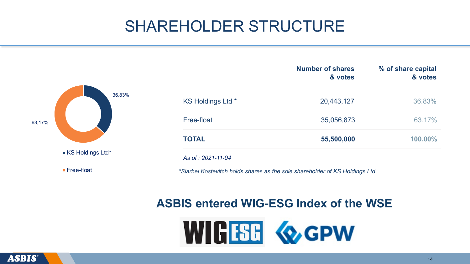# SHAREHOLDER STRUCTURE



|                    | <b>Number of shares</b><br>& votes | % of share capital<br>& votes |
|--------------------|------------------------------------|-------------------------------|
| KS Holdings Ltd *  | 20,443,127                         | 36.83%                        |
| Free-float         | 35,056,873                         | 63.17%                        |
| <b>TOTAL</b>       | 55,500,000                         | 100.00%                       |
| As of : 2021-11-04 |                                    |                               |

*\*Siarhei Kostevitch holds shares as the sole shareholder of KS Holdings Ltd*

#### **ASBIS entered WIG-ESG Index of the WSE**



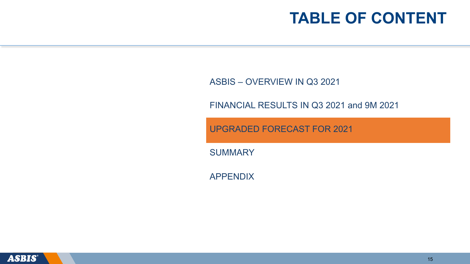ASBIS – OVERVIEW IN Q3 2021

FINANCIAL RESULTS IN Q3 2021 and 9M 2021

UPGRADED FORECAST FOR 2021

**SUMMARY** 

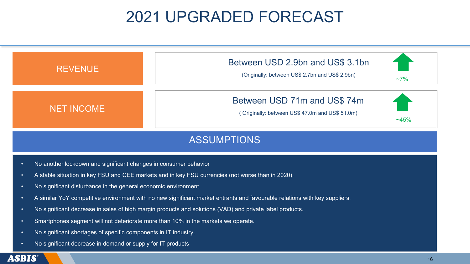# 2021 UPGRADED FORECAST



#### ASSUMPTIONS

- No another lockdown and significant changes in consumer behavior
- A stable situation in key FSU and CEE markets and in key FSU currencies (not worse than in 2020).
- No significant disturbance in the general economic environment.
- A similar YoY competitive environment with no new significant market entrants and favourable relations with key suppliers.
- No significant decrease in sales of high margin products and solutions (VAD) and private label products.
- Smartphones segment will not deteriorate more than 10% in the markets we operate.
- No significant shortages of specific components in IT industry.
- No significant decrease in demand or supply for IT products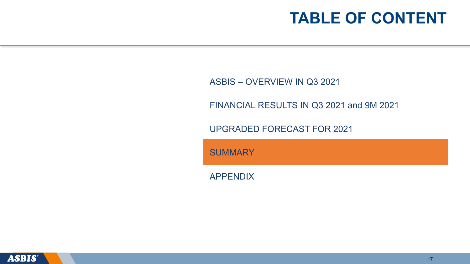ASBIS – OVERVIEW IN Q3 2021

FINANCIAL RESULTS IN Q3 2021 and 9M 2021

UPGRADED FORECAST FOR 2021

**SUMMARY** 

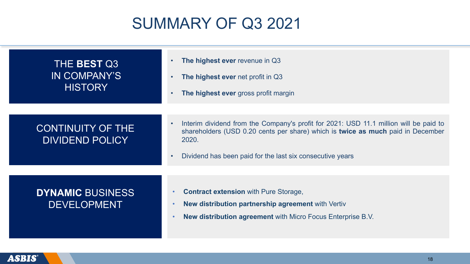# SUMMARY OF Q3 2021

| THE BEST Q3<br>IN COMPANY'S<br><b>HISTORY</b>      | The highest ever revenue in Q3<br>$\bullet$<br>The highest ever net profit in Q3<br>$\bullet$<br>The highest ever gross profit margin<br>$\bullet$                                                                                                                       |
|----------------------------------------------------|--------------------------------------------------------------------------------------------------------------------------------------------------------------------------------------------------------------------------------------------------------------------------|
| <b>CONTINUITY OF THE</b><br><b>DIVIDEND POLICY</b> | Interim dividend from the Company's profit for 2021: USD 11.1 million will be paid to<br>$\bullet$<br>shareholders (USD 0.20 cents per share) which is twice as much paid in December<br>2020.<br>Dividend has been paid for the last six consecutive years<br>$\bullet$ |
| <b>DYNAMIC BUSINESS</b><br><b>DEVELOPMENT</b>      | <b>Contract extension with Pure Storage,</b><br><b>New distribution partnership agreement with Vertiv</b><br><b>New distribution agreement</b> with Micro Focus Enterprise B.V.                                                                                          |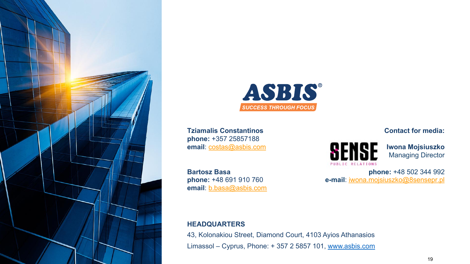



**Tziamalis Constantinos phone:** +357 25857188 **email**: costas@asbis.com

**Bartosz Basa phone:** +48 691 910 760 **email**: b.basa@asbis.com

**HEADQUARTERS**

43, Kolonakiou Street, Diamond Cour Limassol – Cyprus, Phone:  $+35725$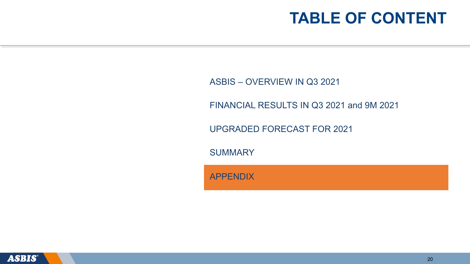ASBIS – OVERVIEW IN Q3 2021

FINANCIAL RESULTS IN Q3 2021 and 9M 2021

UPGRADED FORECAST FOR 2021

**SUMMARY** 

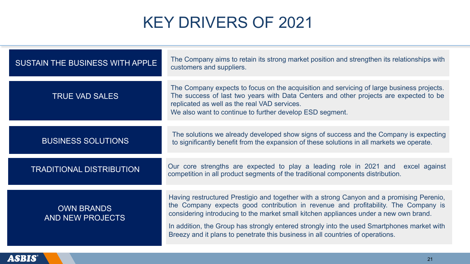# KEY DRIVERS OF 2021

| SUSTAIN THE BUSINESS WITH APPLE              | The Company aims to retain its strong market position and strengthen its relationships with<br>customers and suppliers.                                                                                                                                                                                                                                                                                                                                 |
|----------------------------------------------|---------------------------------------------------------------------------------------------------------------------------------------------------------------------------------------------------------------------------------------------------------------------------------------------------------------------------------------------------------------------------------------------------------------------------------------------------------|
| <b>TRUE VAD SALES</b>                        | The Company expects to focus on the acquisition and servicing of large business projects.<br>The success of last two years with Data Centers and other projects are expected to be<br>replicated as well as the real VAD services.<br>We also want to continue to further develop ESD segment.                                                                                                                                                          |
| <b>BUSINESS SOLUTIONS</b>                    | The solutions we already developed show signs of success and the Company is expecting<br>to significantly benefit from the expansion of these solutions in all markets we operate.                                                                                                                                                                                                                                                                      |
| <b>TRADITIONAL DISTRIBUTION</b>              | Our core strengths are expected to play a leading role in 2021 and excel against<br>competition in all product segments of the traditional components distribution.                                                                                                                                                                                                                                                                                     |
| <b>OWN BRANDS</b><br><b>AND NEW PROJECTS</b> | Having restructured Prestigio and together with a strong Canyon and a promising Perenio,<br>the Company expects good contribution in revenue and profitability. The Company is<br>considering introducing to the market small kitchen appliances under a new own brand.<br>In addition, the Group has strongly entered strongly into the used Smartphones market with<br>Breezy and it plans to penetrate this business in all countries of operations. |

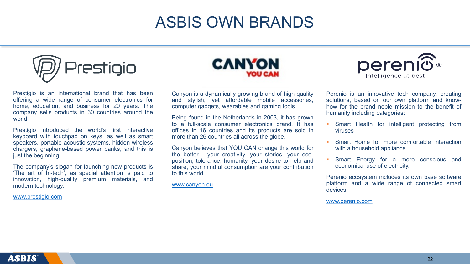#### **ASBIS OWN BRAND**



Prestigio is an international brand that has been offering a wide range of consumer electronics for home, education, and business for 20 years. The company sells products in 30 countries around the world

Prestigio introduced the world's first interactive keyboard with touchpad on keys, as well as smart speakers, portable acoustic systems, hidden wireless chargers, graphene-based power banks, and this is just the beginning.

The company's slogan for launching new products is 'The art of hi-tech', as special attention is paid to innovation, high-quality premium materials, and modern technology.

www.prestigio.com



Canyon is a dynamically growing brand of high-q and stylish, yet affordable mobile access computer gadgets, wearables and gaming tools.

Being found in the Netherlands in 2003, it has g to a full-scale consumer electronics brand. It offices in 16 countries and its products are so more than 26 countries all across the globe.

Canyon believes that YOU CAN change this world for the better - your creativity, your stories, your position, tolerance, humanity, your desire to help share, your mindful consumption are your contrib to this world.

www.canyon.eu

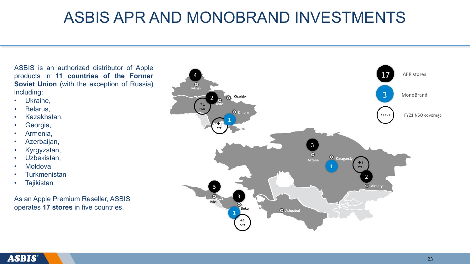### ASBIS APR AND MONOBRAND INVESTMENTS

ASBIS is an authorized distributor of Apple products in **11 countries of the Former Soviet Union** (with the exception of Russia) including:

- Ukraine,
- Belarus,
- Kazakhstan,
- Georgia,
- Armenia,
- Azerbaijan,
- Kyrgyzstan,
- Uzbekistan,
- Moldova
- **Turkmenistan**
- Tajikistan

As an Apple Premium Reseller, ASBIS operates **17 stores** in five countries.

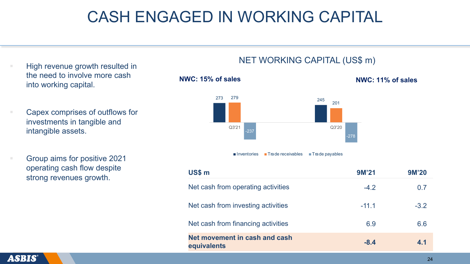#### CASH ENGAGED IN WORKING CAPITAL

- § High revenue growth resulted in the need to involve more cash into working capital.
- § Capex comprises of outflows for investments in tangible and intangible assets.
- § Group aims for positive 2021 operating cash flow despite strong revenues growth.

#### NET WORKING CAPITAL (US\$ m)

**NWC: 15% of sales NWC: 11% of sales**



■Inventories ■ Trade receivables ■ Trade payables

| US\$ m                                       | 9M'21   | <b>9M'20</b> |
|----------------------------------------------|---------|--------------|
| Net cash from operating activities           | $-4.2$  | 0.7          |
| Net cash from investing activities           | $-11.1$ | $-3.2$       |
| Net cash from financing activities           | 6.9     | 6.6          |
| Net movement in cash and cash<br>equivalents | $-8.4$  | 4.1          |

ASBIS®